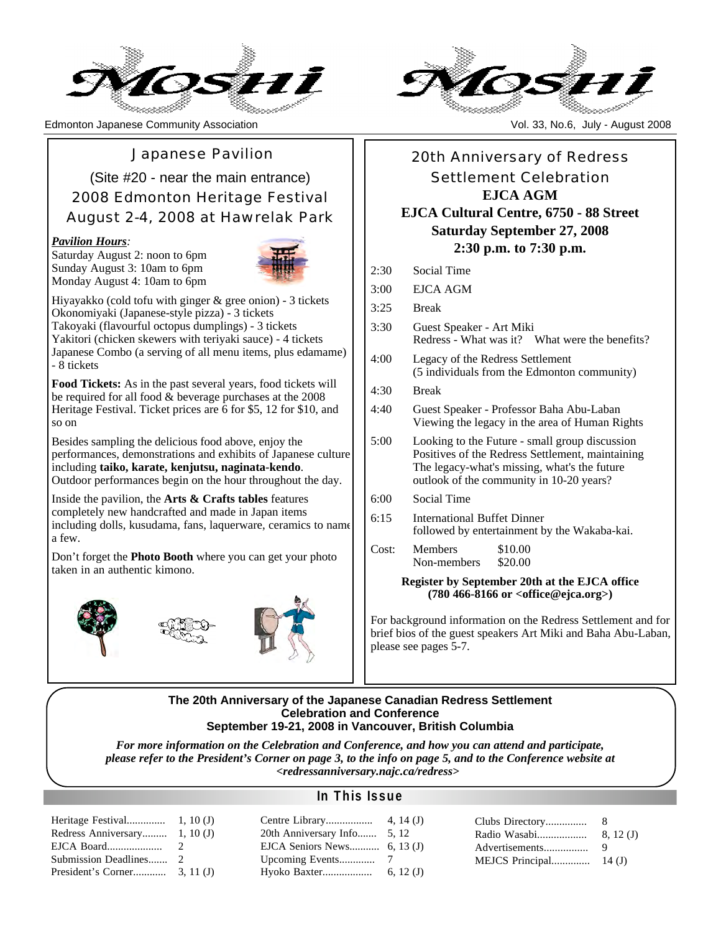

Edmonton Japanese Community Association Vol. 33, No.6, July - August 2008

Japanese Pavilion

(Site #20 - near the main entrance) 2008 Edmonton Heritage Festival August 2-4, 2008 at Hawrelak Park

#### *Pavilion Hours:*

Saturday August 2: noon to 6pm Sunday August 3: 10am to 6pm Monday August 4: 10am to 6pm



Hiyayakko (cold tofu with ginger & gree onion) - 3 tickets Okonomiyaki (Japanese-style pizza) - 3 tickets Takoyaki (flavourful octopus dumplings) - 3 tickets Yakitori (chicken skewers with teriyaki sauce) - 4 tickets Japanese Combo (a serving of all menu items, plus edamame) - 8 tickets

**Food Tickets:** As in the past several years, food tickets will be required for all food & beverage purchases at the 2008 Heritage Festival. Ticket prices are 6 for \$5, 12 for \$10, and so on

Besides sampling the delicious food above, enjoy the performances, demonstrations and exhibits of Japanese culture including **taiko, karate, kenjutsu, naginata-kendo**. Outdoor performances begin on the hour throughout the day.

Inside the pavilion, the **Arts & Crafts tables** features completely new handcrafted and made in Japan items including dolls, kusudama, fans, laquerware, ceramics to name a few.

Don't forget the **Photo Booth** where you can get your photo taken in an authentic kimono.





## 20th Anniversary of Redress Settlement Celebration **EJCA AGM EJCA Cultural Centre, 6750 - 88 Street Saturday September 27, 2008**

#### **2:30 p.m. to 7:30 p.m.**

- 2:30 Social Time
- 3:00 EJCA AGM

3:25 Break

- 3:30 Guest Speaker Art Miki Redress - What was it? What were the benefits?
- 4:00 Legacy of the Redress Settlement (5 individuals from the Edmonton community)
- 4:30 Break
- 4:40 Guest Speaker Professor Baha Abu-Laban Viewing the legacy in the area of Human Rights
- 5:00 Looking to the Future small group discussion Positives of the Redress Settlement, maintaining The legacy-what's missing, what's the future outlook of the community in 10-20 years?
- 6:00 Social Time
- 6:15 International Buffet Dinner followed by entertainment by the Wakaba-kai.
- Cost: Members \$10.00<br>Non-members \$20.00 Non-members

#### **Register by September 20th at the EJCA office (780 466-8166 or <office@ejca.org>)**

For background information on the Redress Settlement and for brief bios of the guest speakers Art Miki and Baha Abu-Laban, please see pages 5-7.

#### **The 20th Anniversary of the Japanese Canadian Redress Settlement Celebration and Conference September 19-21, 2008 in Vancouver, British Columbia**

*For more information on the Celebration and Conference, and how you can attend and participate, please refer to the President's Corner on page 3, to the info on page 5, and to the Conference website at <redressanniversary.najc.ca/redress>*

#### Heritage Fe Redress An EJCA Boar Submission President's

#### **In This Issue**

| miversary 1, 10 (J) | 20th Anniversary Info 5, 12 |  |  |
|---------------------|-----------------------------|--|--|
|                     |                             |  |  |
|                     |                             |  |  |
|                     |                             |  |  |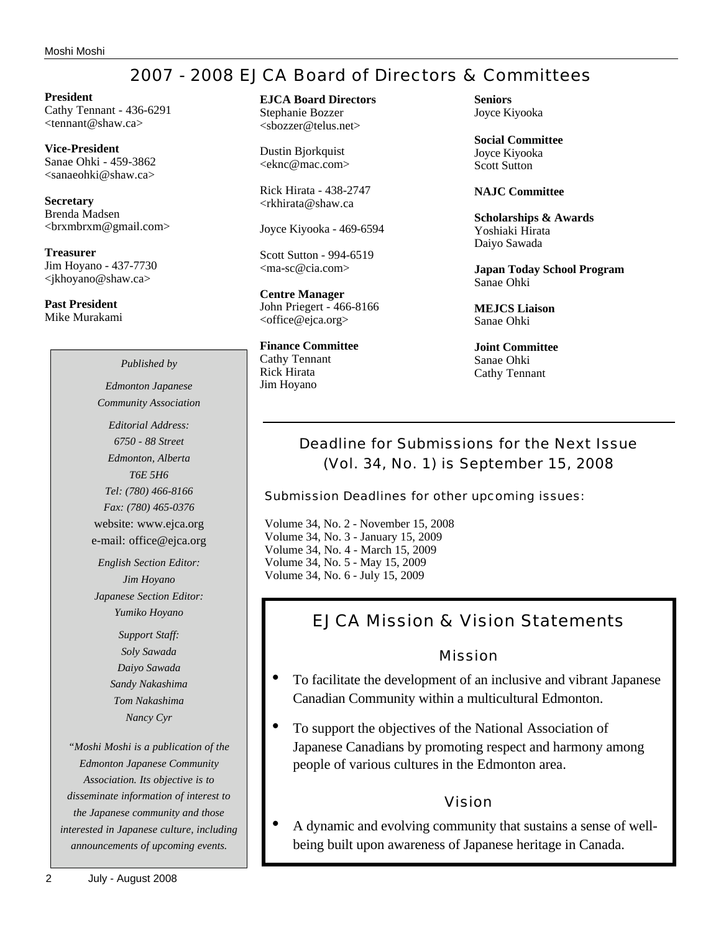## 2007 - 2008 EJCA Board of Directors & Committees

**President** Cathy Tennant - 436-6291 <tennant@shaw.ca>

**Vice-President** Sanae Ohki - 459-3862 <sanaeohki@shaw.ca>

**Secretary** Brenda Madsen <brxmbrxm@gmail.com>

**Treasurer** Jim Hoyano - 437-7730 <jkhoyano@shaw.ca>

**Past President** Mike Murakami

#### **EJCA Board Directors** Stephanie Bozzer

<sbozzer@telus.net>

Dustin Bjorkquist <eknc@mac.com>

Rick Hirata - 438-2747 <rkhirata@shaw.ca

Joyce Kiyooka - 469-6594

Scott Sutton - 994-6519 <ma-sc@cia.com>

**Centre Manager** John Priegert - 466-8166 <office@ejca.org>

**Finance Committee** Cathy Tennant Rick Hirata Jim Hoyano

**Seniors** Joyce Kiyooka

**Social Committee** Joyce Kiyooka Scott Sutton

**NAJC Committee**

**Scholarships & Awards** Yoshiaki Hirata Daiyo Sawada

**Japan Today School Program** Sanae Ohki

**MEJCS Liaison** Sanae Ohki

**Joint Committee** Sanae Ohki Cathy Tennant

## Deadline for Submissions for the Next Issue (Vol. 34, No. 1) is September 15, 2008

Submission Deadlines for other upcoming issues:

Volume 34, No. 2 - November 15, 2008 Volume 34, No. 3 - January 15, 2009 Volume 34, No. 4 - March 15, 2009 Volume 34, No. 5 - May 15, 2009 Volume 34, No. 6 - July 15, 2009

## EJCA Mission & Vision Statements

Mission

- To facilitate the development of an inclusive and vibrant Japanese Canadian Community within a multicultural Edmonton.
- To support the objectives of the National Association of Japanese Canadians by promoting respect and harmony among people of various cultures in the Edmonton area.

### Vision

• A dynamic and evolving community that sustains a sense of wellbeing built upon awareness of Japanese heritage in Canada.

*Community Association Editorial Address: 6750 - 88 Street Edmonton, Alberta T6E 5H6*

*Published by Edmonton Japanese*

*Tel: (780) 466-8166 Fax: (780) 465-0376* website: www.ejca.org e-mail: office@ejca.org

*English Section Editor: Jim Hoyano Japanese Section Editor: Yumiko Hoyano*

> *Support Staff: Soly Sawada Daiyo Sawada Sandy Nakashima Tom Nakashima Nancy Cyr*

*"Moshi Moshi is a publication of the Edmonton Japanese Community Association. Its objective is to disseminate information of interest to the Japanese community and those interested in Japanese culture, including announcements of upcoming events.*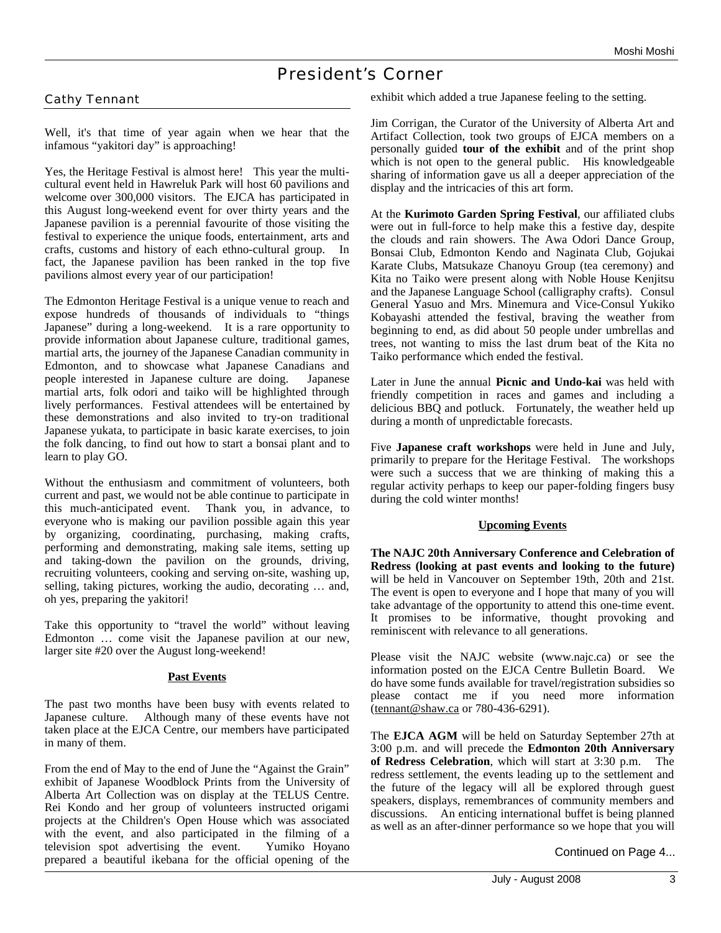## President's Corner

#### Cathy Tennant

Well, it's that time of year again when we hear that the infamous "yakitori day" is approaching!

Yes, the Heritage Festival is almost here! This year the multicultural event held in Hawreluk Park will host 60 pavilions and welcome over 300,000 visitors. The EJCA has participated in this August long-weekend event for over thirty years and the Japanese pavilion is a perennial favourite of those visiting the festival to experience the unique foods, entertainment, arts and crafts, customs and history of each ethno-cultural group. In fact, the Japanese pavilion has been ranked in the top five pavilions almost every year of our participation!

The Edmonton Heritage Festival is a unique venue to reach and expose hundreds of thousands of individuals to "things Japanese" during a long-weekend. It is a rare opportunity to provide information about Japanese culture, traditional games, martial arts, the journey of the Japanese Canadian community in Edmonton, and to showcase what Japanese Canadians and people interested in Japanese culture are doing. Japanese martial arts, folk odori and taiko will be highlighted through lively performances. Festival attendees will be entertained by these demonstrations and also invited to try-on traditional Japanese yukata, to participate in basic karate exercises, to join the folk dancing, to find out how to start a bonsai plant and to learn to play GO.

Without the enthusiasm and commitment of volunteers, both current and past, we would not be able continue to participate in this much-anticipated event. Thank you, in advance, to everyone who is making our pavilion possible again this year by organizing, coordinating, purchasing, making crafts, performing and demonstrating, making sale items, setting up and taking-down the pavilion on the grounds, driving, recruiting volunteers, cooking and serving on-site, washing up, selling, taking pictures, working the audio, decorating … and, oh yes, preparing the yakitori!

Take this opportunity to "travel the world" without leaving Edmonton … come visit the Japanese pavilion at our new, larger site #20 over the August long-weekend!

#### **Past Events**

The past two months have been busy with events related to Japanese culture. Although many of these events have not taken place at the EJCA Centre, our members have participated in many of them.

From the end of May to the end of June the "Against the Grain" exhibit of Japanese Woodblock Prints from the University of Alberta Art Collection was on display at the TELUS Centre. Rei Kondo and her group of volunteers instructed origami projects at the Children's Open House which was associated with the event, and also participated in the filming of a television spot advertising the event. Yumiko Hoyano prepared a beautiful ikebana for the official opening of the

exhibit which added a true Japanese feeling to the setting.

Jim Corrigan, the Curator of the University of Alberta Art and Artifact Collection, took two groups of EJCA members on a personally guided **tour of the exhibit** and of the print shop which is not open to the general public. His knowledgeable sharing of information gave us all a deeper appreciation of the display and the intricacies of this art form.

At the **Kurimoto Garden Spring Festival**, our affiliated clubs were out in full-force to help make this a festive day, despite the clouds and rain showers. The Awa Odori Dance Group, Bonsai Club, Edmonton Kendo and Naginata Club, Gojukai Karate Clubs, Matsukaze Chanoyu Group (tea ceremony) and Kita no Taiko were present along with Noble House Kenjitsu and the Japanese Language School (calligraphy crafts). Consul General Yasuo and Mrs. Minemura and Vice-Consul Yukiko Kobayashi attended the festival, braving the weather from beginning to end, as did about 50 people under umbrellas and trees, not wanting to miss the last drum beat of the Kita no Taiko performance which ended the festival.

Later in June the annual **Picnic and Undo-kai** was held with friendly competition in races and games and including a delicious BBQ and potluck. Fortunately, the weather held up during a month of unpredictable forecasts.

Five **Japanese craft workshops** were held in June and July, primarily to prepare for the Heritage Festival. The workshops were such a success that we are thinking of making this a regular activity perhaps to keep our paper-folding fingers busy during the cold winter months!

#### **Upcoming Events**

**The NAJC 20th Anniversary Conference and Celebration of Redress (looking at past events and looking to the future)** will be held in Vancouver on September 19th, 20th and 21st. The event is open to everyone and I hope that many of you will take advantage of the opportunity to attend this one-time event. It promises to be informative, thought provoking and reminiscent with relevance to all generations.

Please visit the NAJC website (www.najc.ca) or see the information posted on the EJCA Centre Bulletin Board. We do have some funds available for travel/registration subsidies so please contact me if you need more information (tennant@shaw.ca or 780-436-6291).

The **EJCA AGM** will be held on Saturday September 27th at 3:00 p.m. and will precede the **Edmonton 20th Anniversary of Redress Celebration**, which will start at 3:30 p.m. The redress settlement, the events leading up to the settlement and the future of the legacy will all be explored through guest speakers, displays, remembrances of community members and discussions. An enticing international buffet is being planned as well as an after-dinner performance so we hope that you will

Continued on Page 4...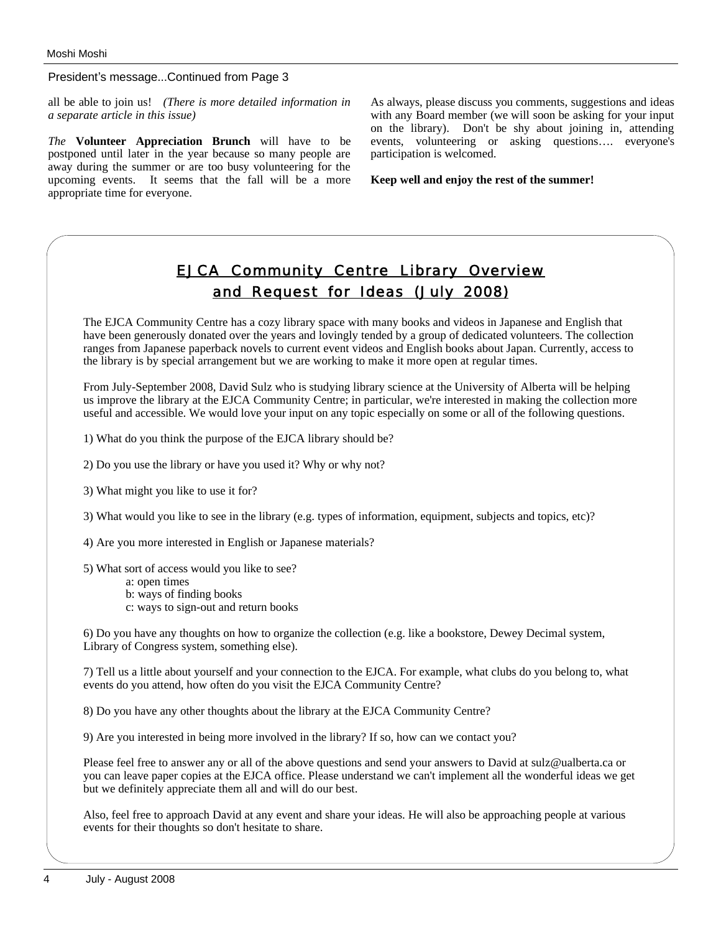President's message...Continued from Page 3

all be able to join us! *(There is more detailed information in a separate article in this issue)*

*The* **Volunteer Appreciation Brunch** will have to be postponed until later in the year because so many people are away during the summer or are too busy volunteering for the upcoming events. It seems that the fall will be a more appropriate time for everyone.

As always, please discuss you comments, suggestions and ideas with any Board member (we will soon be asking for your input on the library). Don't be shy about joining in, attending events, volunteering or asking questions…. everyone's participation is welcomed.

**Keep well and enjoy the rest of the summer!**

## EJCA Community Centre Library Overview and Request for Ideas (July 2008)

The EJCA Community Centre has a cozy library space with many books and videos in Japanese and English that have been generously donated over the years and lovingly tended by a group of dedicated volunteers. The collection ranges from Japanese paperback novels to current event videos and English books about Japan. Currently, access to the library is by special arrangement but we are working to make it more open at regular times.

From July-September 2008, David Sulz who is studying library science at the University of Alberta will be helping us improve the library at the EJCA Community Centre; in particular, we're interested in making the collection more useful and accessible. We would love your input on any topic especially on some or all of the following questions.

1) What do you think the purpose of the EJCA library should be?

2) Do you use the library or have you used it? Why or why not?

3) What might you like to use it for?

3) What would you like to see in the library (e.g. types of information, equipment, subjects and topics, etc)?

4) Are you more interested in English or Japanese materials?

5) What sort of access would you like to see?

a: open times

b: ways of finding books

c: ways to sign-out and return books

6) Do you have any thoughts on how to organize the collection (e.g. like a bookstore, Dewey Decimal system, Library of Congress system, something else).

7) Tell us a little about yourself and your connection to the EJCA. For example, what clubs do you belong to, what events do you attend, how often do you visit the EJCA Community Centre?

8) Do you have any other thoughts about the library at the EJCA Community Centre?

9) Are you interested in being more involved in the library? If so, how can we contact you?

Please feel free to answer any or all of the above questions and send your answers to David at sulz@ualberta.ca or you can leave paper copies at the EJCA office. Please understand we can't implement all the wonderful ideas we get but we definitely appreciate them all and will do our best.

Also, feel free to approach David at any event and share your ideas. He will also be approaching people at various events for their thoughts so don't hesitate to share.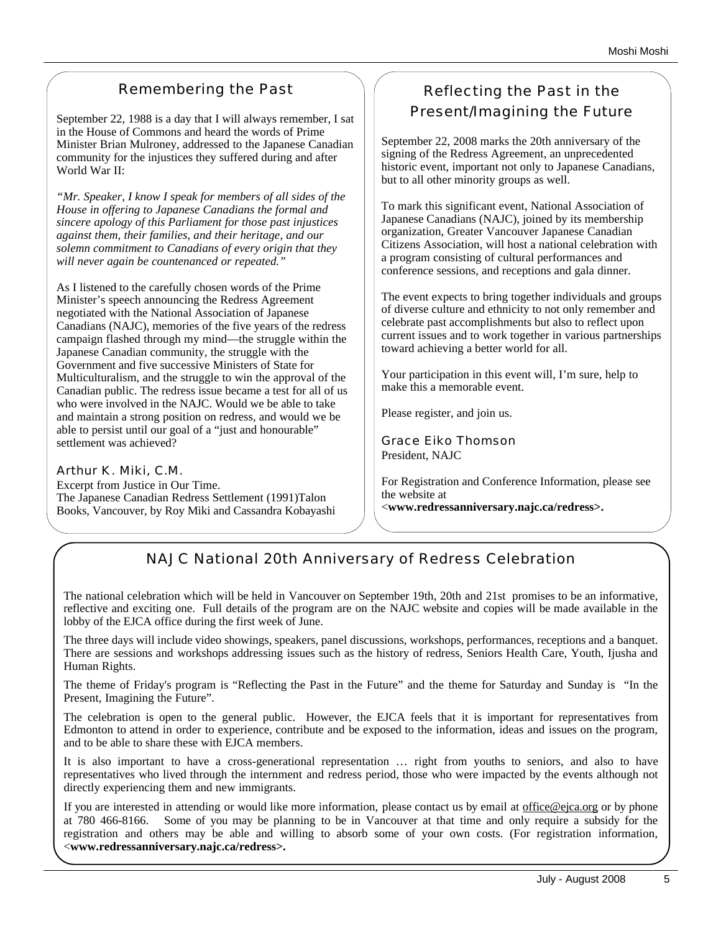## Remembering the Past

September 22, 1988 is a day that I will always remember, I sat in the House of Commons and heard the words of Prime Minister Brian Mulroney, addressed to the Japanese Canadian community for the injustices they suffered during and after World War II:

*"Mr. Speaker, I know I speak for members of all sides of the House in offering to Japanese Canadians the formal and sincere apology of this Parliament for those past injustices against them, their families, and their heritage, and our solemn commitment to Canadians of every origin that they will never again be countenanced or repeated."*

As I listened to the carefully chosen words of the Prime Minister's speech announcing the Redress Agreement negotiated with the National Association of Japanese Canadians (NAJC), memories of the five years of the redress campaign flashed through my mind—the struggle within the Japanese Canadian community, the struggle with the Government and five successive Ministers of State for Multiculturalism, and the struggle to win the approval of the Canadian public. The redress issue became a test for all of us who were involved in the NAJC. Would we be able to take and maintain a strong position on redress, and would we be able to persist until our goal of a "just and honourable" settlement was achieved?

Arthur K. Miki, C.M. Excerpt from Justice in Our Time. The Japanese Canadian Redress Settlement (1991)Talon Books, Vancouver, by Roy Miki and Cassandra Kobayashi

## Reflecting the Past in the Present/Imagining the Future

September 22, 2008 marks the 20th anniversary of the signing of the Redress Agreement, an unprecedented historic event, important not only to Japanese Canadians, but to all other minority groups as well.

To mark this significant event, National Association of Japanese Canadians (NAJC), joined by its membership organization, Greater Vancouver Japanese Canadian Citizens Association, will host a national celebration with a program consisting of cultural performances and conference sessions, and receptions and gala dinner.

The event expects to bring together individuals and groups of diverse culture and ethnicity to not only remember and celebrate past accomplishments but also to reflect upon current issues and to work together in various partnerships toward achieving a better world for all.

Your participation in this event will, I'm sure, help to make this a memorable event.

Please register, and join us.

Grace Eiko Thomson President, NAJC

For Registration and Conference Information, please see the website at <**www.redressanniversary.najc.ca/redress>.**

## NAJC National 20th Anniversary of Redress Celebration

The national celebration which will be held in Vancouver on September 19th, 20th and 21st promises to be an informative, reflective and exciting one. Full details of the program are on the NAJC website and copies will be made available in the lobby of the EJCA office during the first week of June.

The three days will include video showings, speakers, panel discussions, workshops, performances, receptions and a banquet. There are sessions and workshops addressing issues such as the history of redress, Seniors Health Care, Youth, Ijusha and Human Rights.

The theme of Friday's program is "Reflecting the Past in the Future" and the theme for Saturday and Sunday is "In the Present, Imagining the Future".

The celebration is open to the general public. However, the EJCA feels that it is important for representatives from Edmonton to attend in order to experience, contribute and be exposed to the information, ideas and issues on the program, and to be able to share these with EJCA members.

It is also important to have a cross-generational representation … right from youths to seniors, and also to have representatives who lived through the internment and redress period, those who were impacted by the events although not directly experiencing them and new immigrants.

If you are interested in attending or would like more information, please contact us by email at office@ejca.org or by phone at 780 466-8166. Some of you may be planning to be in Vancouver at that time and only require a subsidy for the registration and others may be able and willing to absorb some of your own costs. (For registration information, <**www.redressanniversary.najc.ca/redress>.**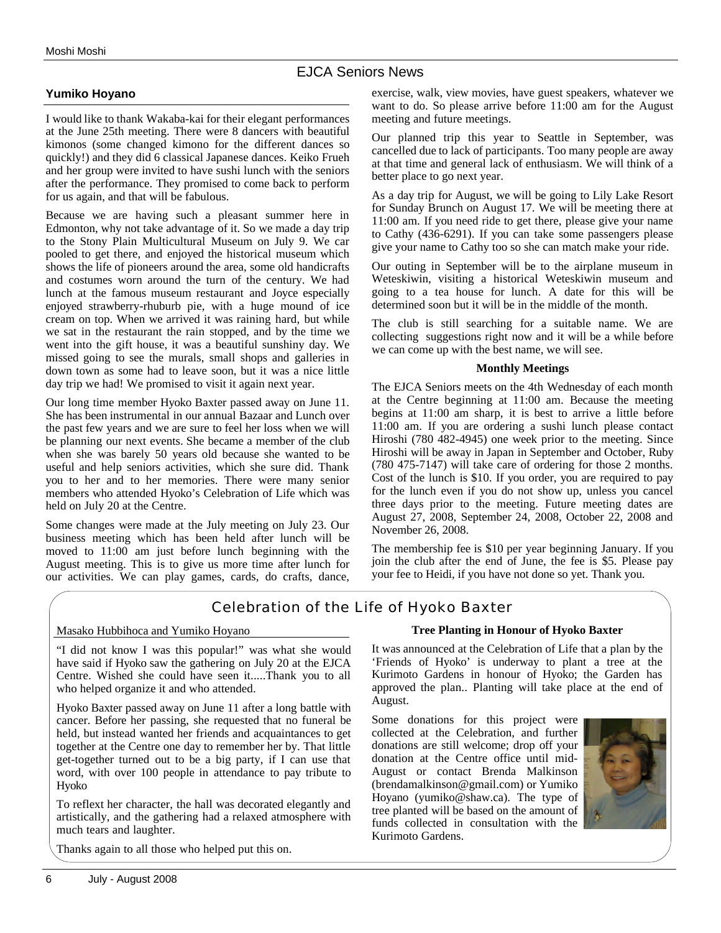#### EJCA Seniors News

#### **Yumiko Hoyano**

I would like to thank Wakaba-kai for their elegant performances at the June 25th meeting. There were 8 dancers with beautiful kimonos (some changed kimono for the different dances so quickly!) and they did 6 classical Japanese dances. Keiko Frueh and her group were invited to have sushi lunch with the seniors after the performance. They promised to come back to perform for us again, and that will be fabulous.

Because we are having such a pleasant summer here in Edmonton, why not take advantage of it. So we made a day trip to the Stony Plain Multicultural Museum on July 9. We car pooled to get there, and enjoyed the historical museum which shows the life of pioneers around the area, some old handicrafts and costumes worn around the turn of the century. We had lunch at the famous museum restaurant and Joyce especially enjoyed strawberry-rhuburb pie, with a huge mound of ice cream on top. When we arrived it was raining hard, but while we sat in the restaurant the rain stopped, and by the time we went into the gift house, it was a beautiful sunshiny day. We missed going to see the murals, small shops and galleries in down town as some had to leave soon, but it was a nice little day trip we had! We promised to visit it again next year.

Our long time member Hyoko Baxter passed away on June 11. She has been instrumental in our annual Bazaar and Lunch over the past few years and we are sure to feel her loss when we will be planning our next events. She became a member of the club when she was barely 50 years old because she wanted to be useful and help seniors activities, which she sure did. Thank you to her and to her memories. There were many senior members who attended Hyoko's Celebration of Life which was held on July 20 at the Centre.

Some changes were made at the July meeting on July 23. Our business meeting which has been held after lunch will be moved to 11:00 am just before lunch beginning with the August meeting. This is to give us more time after lunch for our activities. We can play games, cards, do crafts, dance, exercise, walk, view movies, have guest speakers, whatever we want to do. So please arrive before 11:00 am for the August meeting and future meetings.

Our planned trip this year to Seattle in September, was cancelled due to lack of participants. Too many people are away at that time and general lack of enthusiasm. We will think of a better place to go next year.

As a day trip for August, we will be going to Lily Lake Resort for Sunday Brunch on August 17. We will be meeting there at 11:00 am. If you need ride to get there, please give your name to Cathy (436-6291). If you can take some passengers please give your name to Cathy too so she can match make your ride.

Our outing in September will be to the airplane museum in Weteskiwin, visiting a historical Weteskiwin museum and going to a tea house for lunch. A date for this will be determined soon but it will be in the middle of the month.

The club is still searching for a suitable name. We are collecting suggestions right now and it will be a while before we can come up with the best name, we will see.

#### **Monthly Meetings**

The EJCA Seniors meets on the 4th Wednesday of each month at the Centre beginning at 11:00 am. Because the meeting begins at 11:00 am sharp, it is best to arrive a little before 11:00 am. If you are ordering a sushi lunch please contact Hiroshi (780 482-4945) one week prior to the meeting. Since Hiroshi will be away in Japan in September and October, Ruby (780 475-7147) will take care of ordering for those 2 months. Cost of the lunch is \$10. If you order, you are required to pay for the lunch even if you do not show up, unless you cancel three days prior to the meeting. Future meeting dates are August 27, 2008, September 24, 2008, October 22, 2008 and November 26, 2008.

The membership fee is \$10 per year beginning January. If you join the club after the end of June, the fee is \$5. Please pay your fee to Heidi, if you have not done so yet. Thank you.

## Celebration of the Life of Hyoko Baxter

#### Masako Hubbihoca and Yumiko Hoyano

"I did not know I was this popular!" was what she would have said if Hyoko saw the gathering on July 20 at the EJCA Centre. Wished she could have seen it.....Thank you to all who helped organize it and who attended.

Hyoko Baxter passed away on June 11 after a long battle with cancer. Before her passing, she requested that no funeral be held, but instead wanted her friends and acquaintances to get together at the Centre one day to remember her by. That little get-together turned out to be a big party, if I can use that word, with over 100 people in attendance to pay tribute to Hyoko

To reflext her character, the hall was decorated elegantly and artistically, and the gathering had a relaxed atmosphere with much tears and laughter.

Thanks again to all those who helped put this on.

#### **Tree Planting in Honour of Hyoko Baxter**

It was announced at the Celebration of Life that a plan by the 'Friends of Hyoko' is underway to plant a tree at the Kurimoto Gardens in honour of Hyoko; the Garden has approved the plan.. Planting will take place at the end of August.

Some donations for this project were collected at the Celebration, and further donations are still welcome; drop off your donation at the Centre office until mid-August or contact Brenda Malkinson (brendamalkinson@gmail.com) or Yumiko Hoyano (yumiko@shaw.ca). The type of tree planted will be based on the amount of funds collected in consultation with the Kurimoto Gardens.

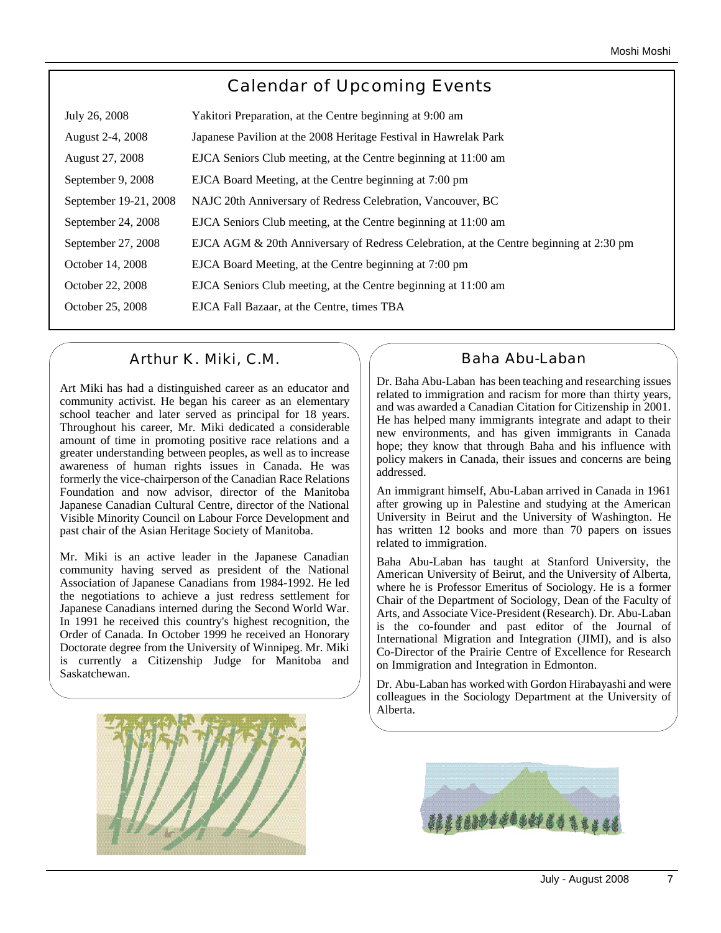## Calendar of Upcoming Events

| July 26, 2008         | Yakitori Preparation, at the Centre beginning at 9:00 am                               |
|-----------------------|----------------------------------------------------------------------------------------|
| August 2-4, 2008      | Japanese Pavilion at the 2008 Heritage Festival in Hawrelak Park                       |
| August 27, 2008       | EJCA Seniors Club meeting, at the Centre beginning at 11:00 am                         |
| September 9, 2008     | EJCA Board Meeting, at the Centre beginning at 7:00 pm                                 |
| September 19-21, 2008 | NAJC 20th Anniversary of Redress Celebration, Vancouver, BC                            |
| September 24, 2008    | EJCA Seniors Club meeting, at the Centre beginning at 11:00 am                         |
| September 27, 2008    | EJCA AGM & 20th Anniversary of Redress Celebration, at the Centre beginning at 2:30 pm |
| October 14, 2008      | EJCA Board Meeting, at the Centre beginning at 7:00 pm                                 |
| October 22, 2008      | EJCA Seniors Club meeting, at the Centre beginning at 11:00 am                         |
| October 25, 2008      | EJCA Fall Bazaar, at the Centre, times TBA                                             |
|                       |                                                                                        |

## Arthur K. Miki, C.M.

Art Miki has had a distinguished career as an educator and community activist. He began his career as an elementary school teacher and later served as principal for 18 years. Throughout his career, Mr. Miki dedicated a considerable amount of time in promoting positive race relations and a greater understanding between peoples, as well as to increase awareness of human rights issues in Canada. He was formerly the vice-chairperson of the Canadian Race Relations Foundation and now advisor, director of the Manitoba Japanese Canadian Cultural Centre, director of the National Visible Minority Council on Labour Force Development and past chair of the Asian Heritage Society of Manitoba.

Mr. Miki is an active leader in the Japanese Canadian community having served as president of the National Association of Japanese Canadians from 1984-1992. He led the negotiations to achieve a just redress settlement for Japanese Canadians interned during the Second World War. In 1991 he received this country's highest recognition, the Order of Canada. In October 1999 he received an Honorary Doctorate degree from the University of Winnipeg. Mr. Miki is currently a Citizenship Judge for Manitoba and Saskatchewan.



## Baha Abu-Laban

Dr. Baha Abu-Laban has been teaching and researching issues related to immigration and racism for more than thirty years, and was awarded a Canadian Citation for Citizenship in 2001. He has helped many immigrants integrate and adapt to their new environments, and has given immigrants in Canada hope; they know that through Baha and his influence with policy makers in Canada, their issues and concerns are being addressed.

An immigrant himself, Abu-Laban arrived in Canada in 1961 after growing up in Palestine and studying at the American University in Beirut and the University of Washington. He has written 12 books and more than 70 papers on issues related to immigration.

Baha Abu-Laban has taught at Stanford University, the American University of Beirut, and the University of Alberta, where he is Professor Emeritus of Sociology. He is a former Chair of the Department of Sociology, Dean of the Faculty of Arts, and Associate Vice-President (Research). Dr. Abu-Laban is the co-founder and past editor of the Journal of International Migration and Integration (JIMI), and is also Co-Director of the Prairie Centre of Excellence for Research on Immigration and Integration in Edmonton.

Dr. Abu-Laban has worked with Gordon Hirabayashi and were colleagues in the Sociology Department at the University of Alberta.

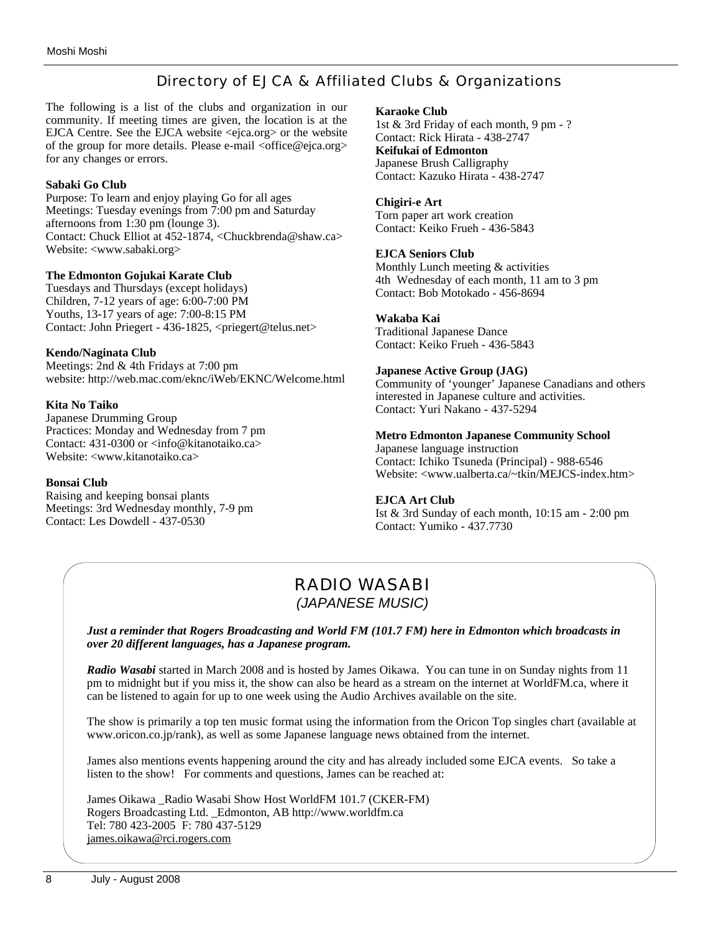## Directory of EJCA & Affiliated Clubs & Organizations

The following is a list of the clubs and organization in our community. If meeting times are given, the location is at the EJCA Centre. See the EJCA website <ejca.org> or the website of the group for more details. Please e-mail <office@ejca.org> for any changes or errors.

#### **Sabaki Go Club**

Purpose: To learn and enjoy playing Go for all ages Meetings: Tuesday evenings from 7:00 pm and Saturday afternoons from 1:30 pm (lounge 3). Contact: Chuck Elliot at 452-1874, <Chuckbrenda@shaw.ca> Website: <www.sabaki.org>

#### **The Edmonton Gojukai Karate Club**

Tuesdays and Thursdays (except holidays) Children, 7-12 years of age: 6:00-7:00 PM Youths, 13-17 years of age: 7:00-8:15 PM Contact: John Priegert - 436-1825, <priegert@telus.net>

#### **Kendo/Naginata Club**

Meetings: 2nd & 4th Fridays at 7:00 pm website: http://web.mac.com/eknc/iWeb/EKNC/Welcome.html

#### **Kita No Taiko**

Japanese Drumming Group Practices: Monday and Wednesday from 7 pm Contact: 431-0300 or <info@kitanotaiko.ca> Website: <www.kitanotaiko.ca>

#### **Bonsai Club**

Raising and keeping bonsai plants Meetings: 3rd Wednesday monthly, 7-9 pm Contact: Les Dowdell - 437-0530

#### **Karaoke Club**

1st & 3rd Friday of each month, 9 pm - ? Contact: Rick Hirata - 438-2747 **Keifukai of Edmonton** Japanese Brush Calligraphy Contact: Kazuko Hirata - 438-2747

#### **Chigiri-e Art**

Torn paper art work creation Contact: Keiko Frueh - 436-5843

#### **EJCA Seniors Club**

Monthly Lunch meeting & activities 4th Wednesday of each month, 11 am to 3 pm Contact: Bob Motokado - 456-8694

#### **Wakaba Kai**

Traditional Japanese Dance Contact: Keiko Frueh - 436-5843

#### **Japanese Active Group (JAG)**

Community of 'younger' Japanese Canadians and others interested in Japanese culture and activities. Contact: Yuri Nakano - 437-5294

#### **Metro Edmonton Japanese Community School**

Japanese language instruction Contact: Ichiko Tsuneda (Principal) - 988-6546 Website: <www.ualberta.ca/~tkin/MEJCS-index.htm>

#### **EJCA Art Club**

Ist & 3rd Sunday of each month, 10:15 am - 2:00 pm Contact: Yumiko - 437.7730

## RADIO WASABI *(JAPANESE MUSIC)*

*Just a reminder that Rogers Broadcasting and World FM (101.7 FM) here in Edmonton which broadcasts in over 20 different languages, has a Japanese program.* 

*Radio Wasabi* started in March 2008 and is hosted by James Oikawa. You can tune in on Sunday nights from 11 pm to midnight but if you miss it, the show can also be heard as a stream on the internet at WorldFM.ca, where it can be listened to again for up to one week using the Audio Archives available on the site.

The show is primarily a top ten music format using the information from the Oricon Top singles chart (available at www.oricon.co.jp/rank), as well as some Japanese language news obtained from the internet.

James also mentions events happening around the city and has already included some EJCA events. So take a listen to the show! For comments and questions, James can be reached at:

James Oikawa Radio Wasabi Show Host WorldFM 101.7 (CKER-FM) Rogers Broadcasting Ltd. \_Edmonton, AB http://www.worldfm.ca Tel: 780 423-2005 F: 780 437-5129 james.oikawa@rci.rogers.com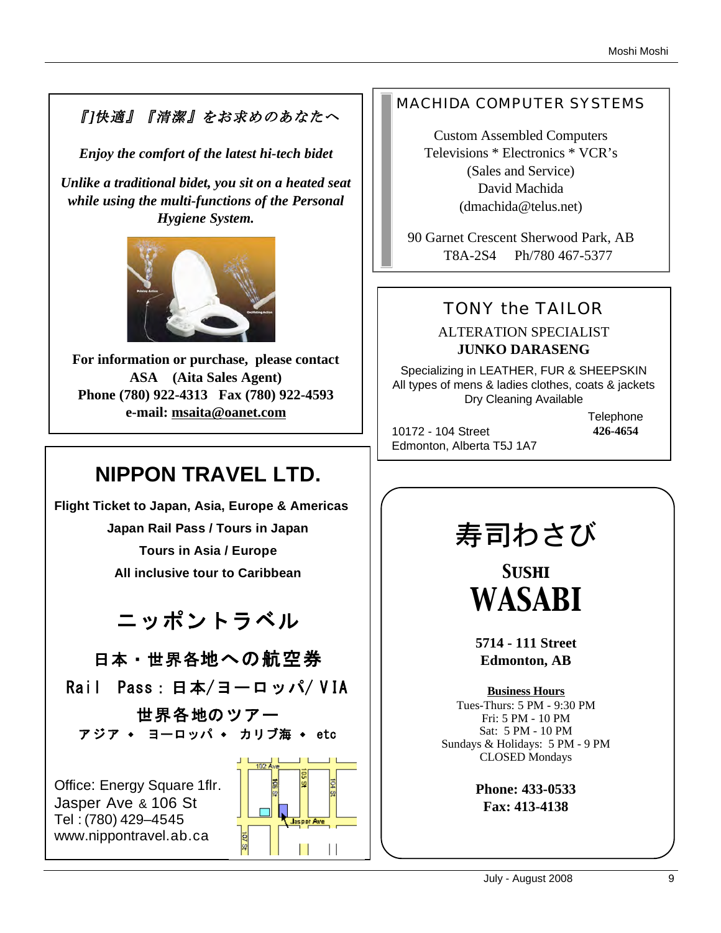## 『]快適』『清潔』をお求めのあなたへ

*Enjoy the comfort of the latest hi-tech bidet*

*Unlike a traditional bidet, you sit on a heated seat while using the multi-functions of the Personal Hygiene System.* 



**For information or purchase, please contact ASA (Aita Sales Agent) Phone (780) 922-4313 Fax (780) 922-4593 e-mail: msaita@oanet.com**

## **NIPPON TRAVEL LTD.**

**Flight Ticket to Japan, Asia, Europe & Americas Japan Rail Pass / Tours in Japan Tours in Asia / Europe All inclusive tour to Caribbean** 

ニッポントラベル

日本・世界各地への航空券

Rail Pass: 日本/ヨーロッパ/ VIA

世界各地のツアー アジア ◆ ヨーロッパ ◆ カリブ海 ◆ etc

Office: Energy Square 1flr. Jasper Ave & 106 St Tel : (780) 429–4545 www.nippontravel.ab.ca



## MACHIDA COMPUTER SYSTEMS

Custom Assembled Computers Televisions \* Electronics \* VCR's (Sales and Service) David Machida (dmachida@telus.net)

90 Garnet Crescent Sherwood Park, AB T8A-2S4 Ph/780 467-5377

## TONY the TAILOR

## ALTERATION SPECIALIST **JUNKO DARASENG**

Specializing in LEATHER, FUR & SHEEPSKIN All types of mens & ladies clothes, coats & jackets Dry Cleaning Available

10172 - 104 Street Edmonton, Alberta T5J 1A7 **Telephone 426-4654**

# 寿司わさび

*Sushi WASABI*

**5714 - 111 Street Edmonton, AB**

**Business Hours** Tues-Thurs: 5 PM - 9:30 PM Fri: 5 PM - 10 PM Sat: 5 PM - 10 PM Sundays & Holidays: 5 PM - 9 PM CLOSED Mondays

> **Phone: 433-0533 Fax: 413-4138**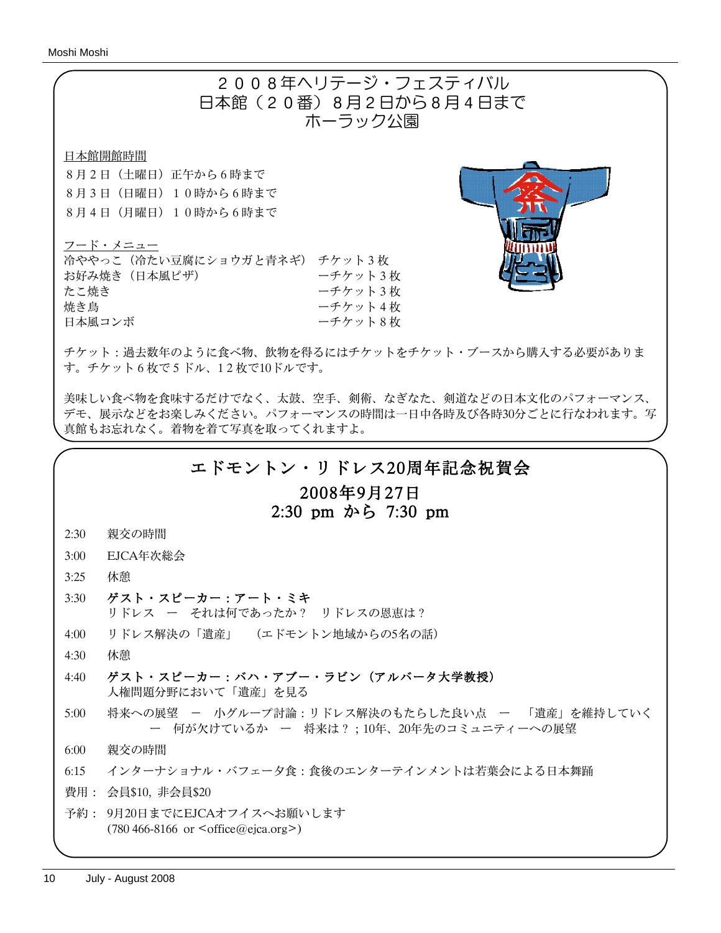

美味しい食べ物を食味するだけでなく、太鼓、空手、剣術、なぎなた、剣道などの日本文化のパフォーマンス、 デモ、展示などをお楽しみください。パフォーマンスの時間は一日中各時及び各時30分ごとに行なわれます。写 真館もお忘れなく。着物を着て写真を取ってくれますよ。

## エドモントン・リドレス20周年記念祝賀会

## 2008年9月27日 2:30 pm から 7:30 pm

#### 2:30 親交の時間

- 3:00 EJCA年次総会
- 3:25 休憩
- 3:30 ゲスト・スピーカー:アート・ミキ リドレス ー それは何であったか? リドレスの恩恵は?
- 4:00 リドレス解決の「遺産」 (エドモントン地域からの5名の話)
- 4:30 休憩
- 4:40 ゲスト・スピーカー:バハ・アブー・ラビン(アルバータ大学教授) 人権問題分野において「遺産」を見る
- 5:00 将来への展望 小グループ討論:リドレス解決のもたらした良い点 ー 「遺産」を維持していく ー 何が欠けているか ー 将来は?;10年、20年先のコミュニティーへの展望
- 6:00 親交の時間
- 6:15 インターナショナル・バフェー夕食:食後のエンターテインメントは若葉会による日本舞踊
- 費用: 会員\$10, 非会員\$20
- 予約: 9月20日までにEJCAオフイスへお願いします (780 466-8166 or <office@ejca.org>)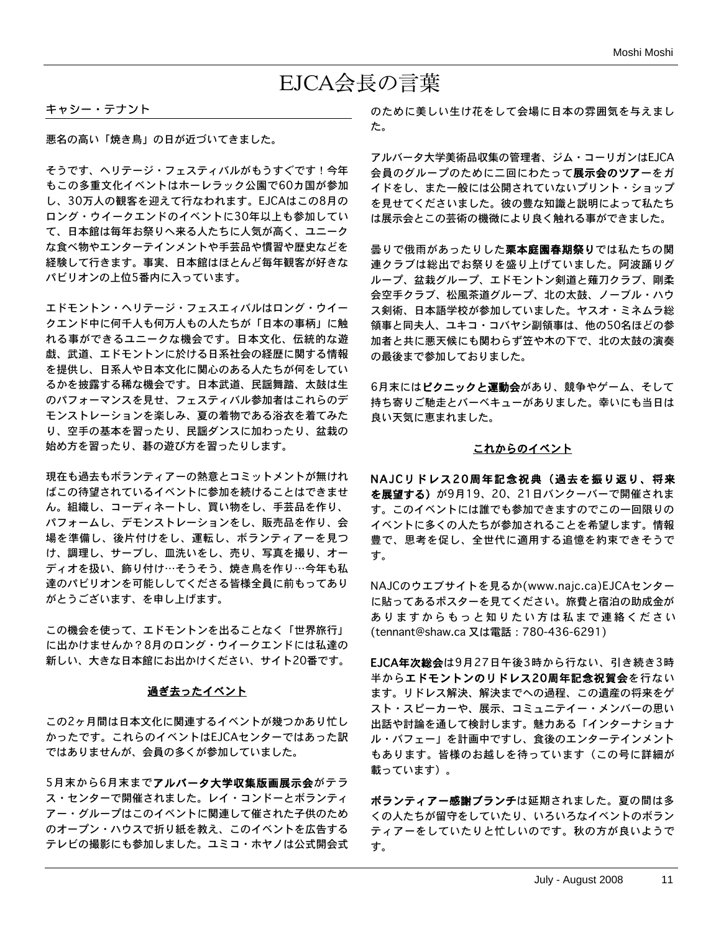## EJCA会長の言葉

#### キャシー・テナント

悪名の高い「焼き鳥」の日が近づいてきました。

そうです、ヘリテージ・フェスティバルがもうすぐです!今年 もこの多重文化イベントはホーレラック公園で60カ国が参加 し、30万人の観客を迎えて行なわれます。EJCAはこの8月の ロング・ウイークエンドのイベントに30年以上も参加してい て、日本館は毎年お祭りへ来る人たちに人気が高く、ユニーク な食べ物やエンターテインメントや手芸品や慣習や歴史などを 経験して行きます。事実、日本館はほとんど毎年観客が好きな パビリオンの上位5番内に入っています。

エドモントン・ヘリテージ・フェスエィバルはロング・ウイー クエンド中に何千人も何万人もの人たちが「日本の事柄」に触 れる事ができるユニークな機会です。日本文化、伝統的な遊 戯、武道、エドモントンに於ける日系社会の経歴に関する情報 を提供し、日系人や日本文化に関心のある人たちが何をしてい るかを披露する稀な機会です。日本武道、民謡舞踏、太鼓は生 のパフォーマンスを見せ、フェスティバル参加者はこれらのデ モンストレーションを楽しみ、夏の着物である浴衣を着てみた り、空手の基本を習ったり、民謡ダンスに加わったり、盆栽の 始め方を習ったり、碁の遊び方を習ったりします。

現在も過去もボランティアーの熱意とコミットメントが無けれ ばこの待望されているイベントに参加を続けることはできませ ん。組織し、コーディネートし、買い物をし、手芸品を作り、 パフォームし、デモンストレーションをし、販売品を作り、会 場を準備し、後片付けをし、運転し、ボランティアーを見つ け、調理し、サーブし、皿洗いをし、売り、写真を撮り、オー ディオを扱い、飾り付け…そうそう、焼き鳥を作り…今年も私 達のパビリオンを可能ししてくださる皆様全員に前もってあり がとうございます、を申し上げます。

この機会を使って、エドモントンを出ることなく「世界旅行」 に出かけませんか?8月のロング・ウイークエンドには私達の 新しい、大きな日本館にお出かけください、サイト20番です。

#### 過ぎ去ったイベント

この2ヶ月間は日本文化に関連するイベントが幾つかあり忙し かったです。これらのイベントはEJCAセンターではあった訳 ではありませんが、会員の多くが参加していました。

5月末から6月末までアルバータ大学収集版画展示会がテラ ス・センターで開催されました。レイ・コンドーとボランティ アー・グループはこのイベントに関連して催された子供のため のオープン・ハウスで折り紙を教え、このイベントを広告する テレビの撮影にも参加しました。ユミコ・ホヤノは公式開会式 のために美しい生け花をして会場に日本の雰囲気を与えまし た。

アルバータ大学美術品収集の管理者、ジム・コーリガンはEJCA 会員のグループのために二回にわたって展示会のツアーをガ イドをし、また一般には公開されていないプリント・ショップ を見せてくださいました。彼の豊な知識と説明によって私たち は展示会とこの芸術の機微により良く触れる事ができました。

曇りで俄雨があったりした**栗本庭園春期祭り**では私たちの関 連クラブは総出でお祭りを盛り上げていました。阿波踊りグ ループ、盆栽グループ、エドモントン剣道と薙刀クラブ、剛柔 会空手クラブ、松風茶道グループ、北の太鼓、ノーブル・ハウ ス剣術、日本語学校が参加していました。ヤスオ・ミネムラ総 領事と同夫人、ユキコ・コバヤシ副領事は、他の50名ほどの参 加者と共に悪天候にも関わらず笠や木の下で、北の太鼓の演奏 の最後まで参加しておりました。

6月末にはピクニックと運動会があり、競争やゲーム、そして 持ち寄りご馳走とバーベキューがありました。幸いにも当日は 良い天気に恵まれました。

#### これからのイベント

NAJCリドレス20周年記念祝典(過去を振り返り、将来 を展望する)が9月19、20、21日バンクーバーで開催されま す。このイベントには誰でも参加できますのでこの一回限りの イベントに多くの人たちが参加されることを希望します。情報 豊で、思考を促し、全世代に適用する追憶を約束できそうで す。

NAJCのウエブサイトを見るか(www.najc.ca)EJCAセンター に貼ってあるポスターを見てください。旅費と宿泊の助成金が ありますからもっと知りたい方は私まで連絡ください (tennant@shaw.ca 又は電話:780-436-6291)

EJCA年次総会は9月27日午後3時から行ない、引き続き3時 半からエドモントンのリドレス20周年記念祝賀会を行ない ます。リドレス解決、解決までへの過程、この遺産の将来をゲ スト・スピーカーや、展示、コミュニテイー・メンバーの思い 出話や討論を通して検討します。魅力ある「インターナショナ ル・バフェー」を計画中ですし、食後のエンターテインメント もあります。皆様のお越しを待っています(この号に詳細が 載っています)。

ボランティアー感謝ブランチは延期されました。夏の間は多 くの人たちが留守をしていたり、いろいろなイベントのボラン ティアーをしていたりと忙しいのです。秋の方が良いようで す。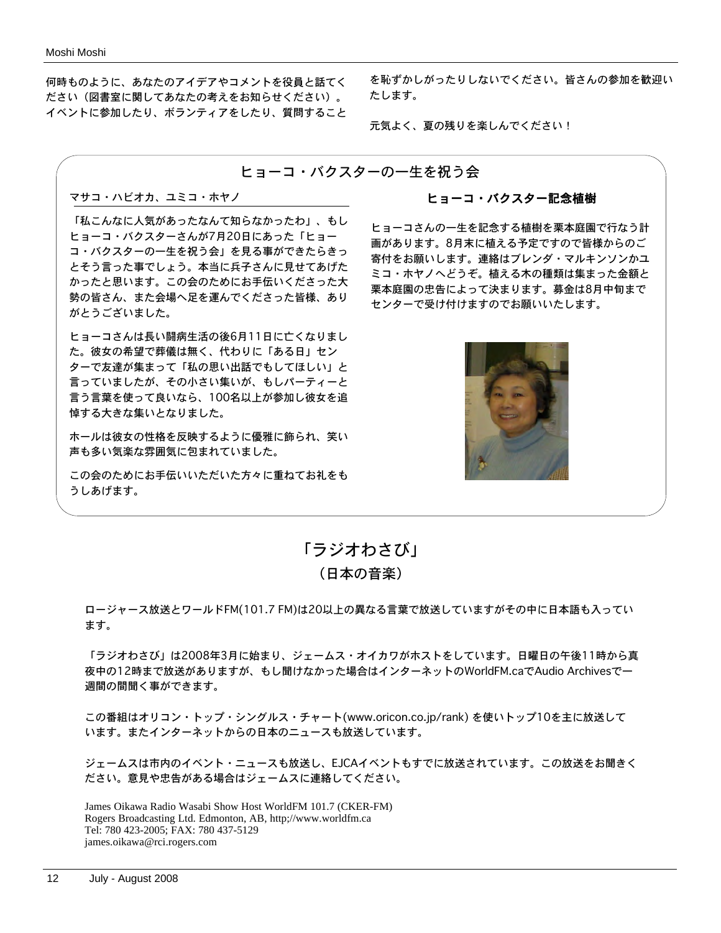何時ものように、あなたのアイデアやコメントを役員と話てく ださい(図書室に関してあなたの考えをお知らせください)。 イベントに参加したり、ボランティアをしたり、質問すること

を恥ずかしがったりしないでください。皆さんの参加を歓迎い たします。

元気よく、夏の残りを楽しんでください!

#### ヒョーコ・バクスターの一生を祝う会

#### マサコ・ハビオカ、ユミコ・ホヤノ

「私こんなに人気があったなんて知らなかったわ」、もし ヒョーコ・バクスターさんが7月20日にあった「ヒョー コ・バクスターの一生を祝う会」を見る事ができたらきっ とそう言った事でしょう。本当に兵子さんに見せてあげた かったと思います。この会のためにお手伝いくださった大 勢の皆さん、また会場へ足を運んでくださった皆様、あり がとうございました。

ヒョーコさんは長い闘病生活の後6月11日に亡くなりまし た。彼女の希望で葬儀は無く、代わりに「ある日」セン ターで友達が集まって「私の思い出話でもしてほしい」と 言っていましたが、その小さい集いが、もしパーティーと 言う言葉を使って良いなら、100名以上が参加し彼女を追 悼する大きな集いとなりました。

ホールは彼女の性格を反映するように優雅に飾られ、笑い 声も多い気楽な雰囲気に包まれていました。

この会のためにお手伝いいただいた方々に重ねてお礼をも うしあげます。

#### ヒョーコ・バクスター記念植樹

ヒョーコさんの一生を記念する植樹を栗本庭園で行なう計 画があります。8月末に植える予定ですので皆様からのご 寄付をお願いします。連絡はブレンダ・マルキンソンかユ ミコ・ホヤノへどうぞ。植える木の種類は集まった金額と 栗本庭園の忠告によって決まります。募金は8月中旬まで センターで受け付けますのでお願いいたします。



「ラジオわさび」 (日本の音楽)

ロージャース放送とワールドFM(101.7 FM)は20以上の異なる言葉で放送していますがその中に日本語も入ってい ます。

「ラジオわさび」は2008年3月に始まり、ジェームス・オイカワがホストをしています。日曜日の午後11時から真 夜中の12時まで放送がありますが、もし聞けなかった場合はインターネットのWorldFM.caでAudio Archivesで一 週間の間聞く事ができます。

この番組はオリコン・トップ・シングルス・チャート(www.oricon.co.jp/rank) を使いトップ10を主に放送して います。またインターネットからの日本のニュースも放送しています。

ジェームスは市内のイベント・ニュースも放送し、EJCAイベントもすでに放送されています。この放送をお聞きく ださい。意見や忠告がある場合はジェームスに連絡してください。

James Oikawa Radio Wasabi Show Host WorldFM 101.7 (CKER-FM) Rogers Broadcasting Ltd. Edmonton, AB, http;//www.worldfm.ca Tel: 780 423-2005; FAX: 780 437-5129 james.oikawa@rci.rogers.com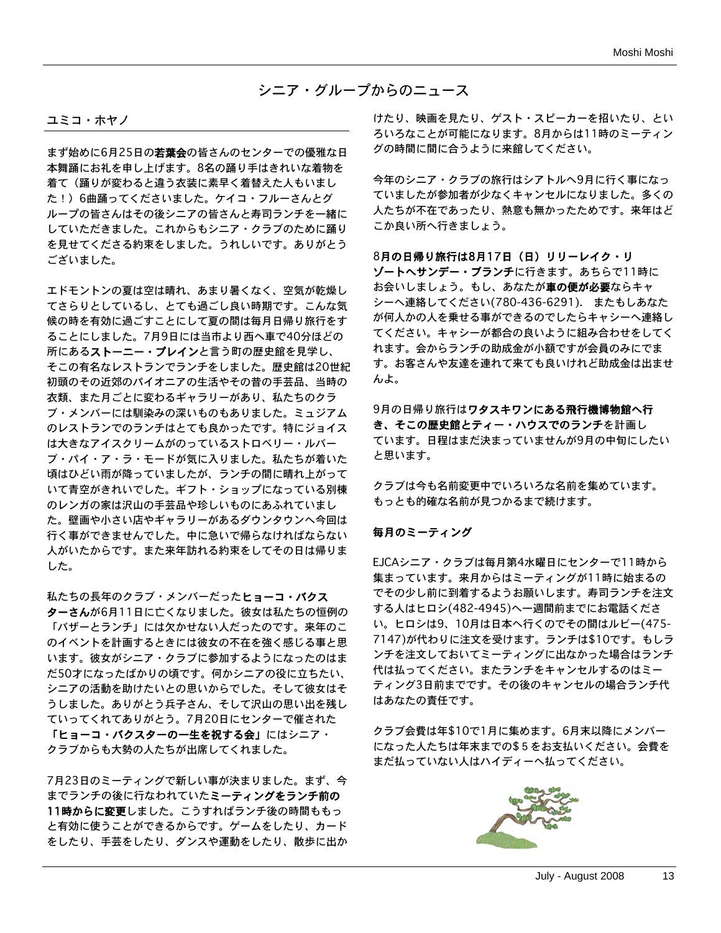シニア・グループからのニュース

#### ユミコ・ホヤノ

まず始めに6月25日の若葉会の皆さんのセンターでの優雅な日 本舞踊にお礼を申し上げます。8名の踊り手はきれいな着物を 着て(踊りが変わると違う衣装に素早く着替えた人もいまし た!)6曲踊ってくださいました。ケイコ・フルーさんとグ ループの皆さんはその後シニアの皆さんと寿司ランチを一緒に していただきました。これからもシニア・クラブのために踊り を見せてくださる約束をしました。うれしいです。ありがとう ございました。

エドモントンの夏は空は晴れ、あまり暑くなく、空気が乾燥し てさらりとしているし、とても過ごし良い時期です。こんな気 候の時を有効に過ごすことにして夏の間は毎月日帰り旅行をす ることにしました。7月9日には当市より西へ車で40分ほどの 所にあるストーニー・プレインと言う町の歴史館を見学し、 そこの有名なレストランでランチをしました。歴史館は20世紀 初頭のその近郊のパイオニアの生活やその昔の手芸品、当時の 衣類、また月ごとに変わるギャラリーがあり、私たちのクラ ブ・メンバーには馴染みの深いものもありました。ミュジアム のレストランでのランチはとても良かったです。特にジョイス は大きなアイスクリームがのっているストロベリー・ルバー ブ・パイ・ア・ラ・モードが気に入りました。私たちが着いた 頃はひどい雨が降っていましたが、ランチの間に晴れ上がって いて青空がきれいでした。ギフト・ショップになっている別棟 のレンガの家は沢山の手芸品や珍しいものにあふれていまし た。壁画や小さい店やギャラリーがあるダウンタウンへ今回は 行く事ができませんでした。中に急いで帰らなければならない 人がいたからです。また来年訪れる約束をしてその日は帰りま した。

私たちの長年のクラブ・メンバーだったヒョーコ・バクス ターさんが6月11日に亡くなりました。彼女は私たちの恒例の 「バザーとランチ」には欠かせない人だったのです。来年のこ のイベントを計画するときには彼女の不在を強く感じる事と思 います。彼女がシニア・クラブに参加するようになったのはま だ50才になったばかりの頃です。何かシニアの役に立ちたい、 シニアの活動を助けたいとの思いからでした。そして彼女はそ うしました。ありがとう兵子さん、そして沢山の思い出を残し ていってくれてありがとう。7月20日にセンターで催された 「ヒョーコ・バクスターの一生を祝する会」にはシニア・ クラブからも大勢の人たちが出席してくれました。

7月23日のミーティングで新しい事が決まりました。まず、今 までランチの後に行なわれていたミーティングをランチ前の 11時からに変更しました。こうすればランチ後の時間ももっ と有効に使うことができるからです。ゲームをしたり、カード をしたり、手芸をしたり、ダンスや運動をしたり、散歩に出か

けたり、映画を見たり、ゲスト・スピーカーを招いたり、とい ろいろなことが可能になります。8月からは11時のミーティン グの時間に間に合うように来館してください。

今年のシニア・クラブの旅行はシアトルへ9月に行く事になっ ていましたが参加者が少なくキャンセルになりました。多くの 人たちが不在であったり、熱意も無かったためです。来年はど こか良い所へ行きましょう。

8月の日帰り旅行は8月17日(日)リリーレイク・リ ゾートへサンデー・ブランチに行きます。あちらで11時に お会いしましょう。もし、あなたが車の便が必要ならキャ シーへ連絡してください(780-436-6291). またもしあなた が何人かの人を乗せる事ができるのでしたらキャシーへ連絡し てください。キャシーが都合の良いように組み合わせをしてく れます。会からランチの助成金が小額ですが会員のみにでま す。お客さんや友達を連れて来ても良いけれど助成金は出ませ んよ。

9月の日帰り旅行はワタスキワンにある飛行機博物館へ行 き、そこの歴史館とティー・ハウスでのランチを計画し ています。日程はまだ決まっていませんが9月の中旬にしたい と思います。

クラブは今も名前変更中でいろいろな名前を集めています。 もっとも的確な名前が見つかるまで続けます。

#### 毎月のミーティング

EJCAシニア・クラブは毎月第4水曜日にセンターで11時から 集まっています。来月からはミーティングが11時に始まるの でその少し前に到着するようお願いします。寿司ランチを注文 する人はヒロシ(482-4945)へ一週間前までにお電話くださ い。ヒロシは9、10月は日本へ行くのでその間はルビー(475- 7147)が代わりに注文を受けます。ランチは\$10です。もしラ ンチを注文しておいてミーティングに出なかった場合はランチ 代は払ってください。またランチをキャンセルするのはミー ティング3日前までです。その後のキャンセルの場合ランチ代 はあなたの責任です。

クラブ会費は年\$10で1月に集めます。6月末以降にメンバー になった人たちは年末までの\$5をお支払いください。会費を まだ払っていない人はハイディーへ払ってください。

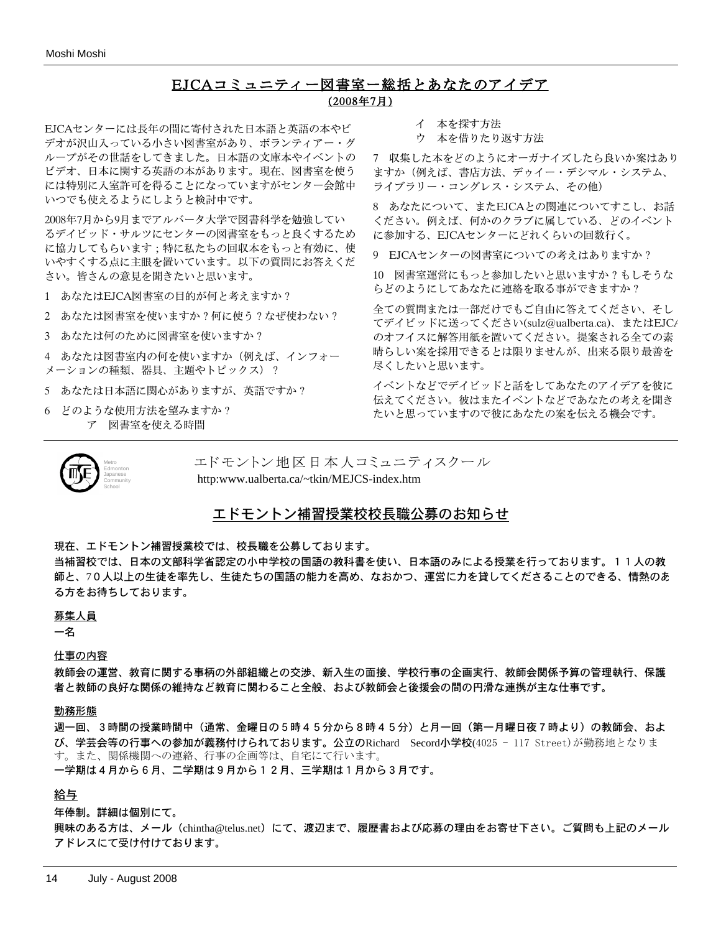## EJCAコミュニティー図書室ー総括とあなたのアイデア

(2008年7月)

EJCAセンターには長年の間に寄付された日本語と英語の本やビ デオが沢山入っている小さい図書室があり、ボランティアー・グ ループがその世話をしてきました。日本語の文庫本やイベントの ビデオ、日本に関する英語の本があります。現在、図書室を使う には特別に入室許可を得ることになっていますがセンター会館中 いつでも使えるようにしようと検討中です。

2008年7月から9月までアルバータ大学で図書科学を勉強してい るデイビッド・サルツにセンターの図書室をもっと良くするため に協力してもらいます;特に私たちの回収本をもっと有効に、使 いやすくする点に主眼を置いています。以下の質問にお答えくだ さい。皆さんの意見を聞きたいと思います。

1 あなたはEJCA図書室の目的が何と考えますか?

2 あなたは図書室を使いますか?何に使う?なぜ使わない?

3 あなたは何のために図書室を使いますか?

4 あなたは図書室内の何を使いますか(例えば、インフォー メーションの種類、器具、主題やトピックス)?

- 5 あなたは日本語に関心がありますが、英語ですか?
- 6 どのような使用方法を望みますか? ア 図書室を使える時間
- イ 本を探す方法
- ウ 本を借りたり返す方法

7 収集した本をどのようにオーガナイズしたら良いか案はあり ますか(例えば、書店方法、デゥイー・デシマル・システム、 ライブラリー・コングレス・システム、その他)

8 あなたについて、またEJCAとの関連についてすこし、お話 ください。例えば、何かのクラブに属している、どのイベント に参加する、EJCAセンターにどれくらいの回数行く。

9 EJCAセンターの図書室についての考えはありますか?

10 図書室運営にもっと参加したいと思いますか?もしそうな らどのようにしてあなたに連絡を取る事ができますか?

全ての質問または一部だけでもご自由に答えてください、そし てデイビッドに送ってください(sulz@ualberta.ca)、またはEJCA のオフイスに解答用紙を置いてください。提案される全ての素 晴らしい案を採用できるとは限りませんが、出来る限り最善を 尽くしたいと思います。

イベントなどでデイビッドと話をしてあなたのアイデアを彼に 伝えてください。彼はまたイベントなどであなたの考えを聞き たいと思っていますので彼にあなたの案を伝える機会です。



エドモントン地区日本人コミュニティスクール http:www.ualberta.ca/~tkin/MEJCS-index.htm

#### エドモントン補習授業校校長職公募のお知らせ

現在、エドモントン補習授業校では、校長職を公募しております。

当補習校では、日本の文部科学省認定の小中学校の国語の教科書を使い、日本語のみによる授業を行っております。11人の教 師と、70人以上の生徒を率先し、生徒たちの国語の能力を高め、なおかつ、運営に力を貸してくださることのできる、情熱のあ る方をお待ちしております。

#### 募集人員

#### 一名

仕事の内容

教師会の運営、教育に関する事柄の外部組織との交渉、新入生の面接、学校行事の企画実行、教師会関係予算の管理執行、保護 者と教師の良好な関係の維持など教育に関わること全般、および教師会と後援会の間の円滑な連携が主な仕事です。

#### 勤務形態

週一回、3時間の授業時間中(通常、金曜日の5時45分から8時45分)と月一回(第一月曜日夜7時より)の教師会、およ び、学芸会等の行事への参加が義務付けられております。公立のRichard Secord小学校(4025 - 117 Street)が勤務地となりま す。また、関係機関への連絡、行事の企画等は、自宅にて行います。 一学期は4月から6月、二学期は9月から12月、三学期は1月から3月です。

#### 給与

年俸制。詳細は個別にて。

興味のある方は、メール (chintha@telus.net) にて、渡辺まで、履歴書および応募の理由をお寄せ下さい。ご質問も上記のメール アドレスにて受け付けております。